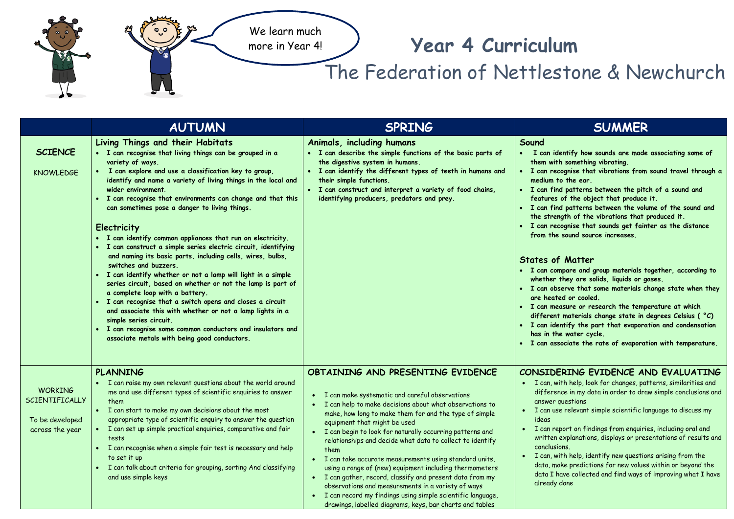

## **Year 4 Curriculum**

The Federation of Nettlestone & Newchurch

|                                                                        | <b>AUTUMN</b>                                                                                                                                                                                                                                                                                                                                                                                                                                                                                                                                                                                                                                                                                                                                                                                                                                                                                                                                                                                                                                                   | <b>SPRING</b>                                                                                                                                                                                                                                                                                                                                                                                                                                                                                                                                                                                                                                                                                                                                         | <b>SUMMER</b>                                                                                                                                                                                                                                                                                                                                                                                                                                                                                                                                                                                                                                                                                                                                                                                                                                                                                                                                                                                                                 |
|------------------------------------------------------------------------|-----------------------------------------------------------------------------------------------------------------------------------------------------------------------------------------------------------------------------------------------------------------------------------------------------------------------------------------------------------------------------------------------------------------------------------------------------------------------------------------------------------------------------------------------------------------------------------------------------------------------------------------------------------------------------------------------------------------------------------------------------------------------------------------------------------------------------------------------------------------------------------------------------------------------------------------------------------------------------------------------------------------------------------------------------------------|-------------------------------------------------------------------------------------------------------------------------------------------------------------------------------------------------------------------------------------------------------------------------------------------------------------------------------------------------------------------------------------------------------------------------------------------------------------------------------------------------------------------------------------------------------------------------------------------------------------------------------------------------------------------------------------------------------------------------------------------------------|-------------------------------------------------------------------------------------------------------------------------------------------------------------------------------------------------------------------------------------------------------------------------------------------------------------------------------------------------------------------------------------------------------------------------------------------------------------------------------------------------------------------------------------------------------------------------------------------------------------------------------------------------------------------------------------------------------------------------------------------------------------------------------------------------------------------------------------------------------------------------------------------------------------------------------------------------------------------------------------------------------------------------------|
| <b>SCIENCE</b><br><b>KNOWLEDGE</b>                                     | Living Things and their Habitats<br>· I can recognise that living things can be grouped in a<br>variety of ways.<br>I can explore and use a classification key to group,<br>identify and name a variety of living things in the local and<br>wider environment.<br>• I can recognise that environments can change and that this<br>can sometimes pose a danger to living things.<br>Electricity<br>• I can identify common appliances that run on electricity.<br>· I can construct a simple series electric circuit, identifying<br>and naming its basic parts, including cells, wires, bulbs,<br>switches and buzzers.<br>· I can identify whether or not a lamp will light in a simple<br>series circuit, based on whether or not the lamp is part of<br>a complete loop with a battery.<br>• I can recognise that a switch opens and closes a circuit<br>and associate this with whether or not a lamp lights in a<br>simple series circuit.<br>• I can recognise some common conductors and insulators and<br>associate metals with being good conductors. | Animals, including humans<br>• I can describe the simple functions of the basic parts of<br>the digestive system in humans.<br>I can identify the different types of teeth in humans and<br>their simple functions.<br>• I can construct and interpret a variety of food chains,<br>identifying producers, predators and prey.                                                                                                                                                                                                                                                                                                                                                                                                                        | Sound<br>• I can identify how sounds are made associating some of<br>them with something vibrating.<br>• I can recognise that vibrations from sound travel through a<br>medium to the ear.<br>• I can find patterns between the pitch of a sound and<br>features of the object that produce it.<br>. I can find patterns between the volume of the sound and<br>the strength of the vibrations that produced it.<br>• I can recognise that sounds get fainter as the distance<br>from the sound source increases.<br><b>States of Matter</b><br>· I can compare and group materials together, according to<br>whether they are solids, liquids or gases.<br>• I can observe that some materials change state when they<br>are heated or cooled.<br>• I can measure or research the temperature at which<br>different materials change state in degrees Celsius ( °C)<br>• I can identify the part that evaporation and condensation<br>has in the water cycle.<br>• I can associate the rate of evaporation with temperature. |
| <b>WORKING</b><br>SCIENTIFICALLY<br>To be developed<br>across the year | <b>PLANNING</b><br>I can raise my own relevant questions about the world around<br>me and use different types of scientific enquiries to answer<br>them<br>• I can start to make my own decisions about the most<br>appropriate type of scientific enquiry to answer the question<br>• I can set up simple practical enquiries, comparative and fair<br>tests<br>• I can recognise when a simple fair test is necessary and help<br>to set it up<br>• I can talk about criteria for grouping, sorting And classifying<br>and use simple keys                                                                                                                                                                                                                                                                                                                                                                                                                                                                                                                    | OBTAINING AND PRESENTING EVIDENCE<br>• I can make systematic and careful observations<br>• I can help to make decisions about what observations to<br>make, how long to make them for and the type of simple<br>equipment that might be used<br>• I can begin to look for naturally occurring patterns and<br>relationships and decide what data to collect to identify<br>them<br>· I can take accurate measurements using standard units,<br>using a range of (new) equipment including thermometers<br>• I can gather, record, classify and present data from my<br>observations and measurements in a variety of ways<br>• I can record my findings using simple scientific language,<br>drawings, labelled diagrams, keys, bar charts and tables | CONSIDERING EVIDENCE AND EVALUATING<br>• I can, with help, look for changes, patterns, similarities and<br>difference in my data in order to draw simple conclusions and<br>answer questions<br>I can use relevant simple scientific language to discuss my<br>ideas<br>• I can report on findings from enquiries, including oral and<br>written explanations, displays or presentations of results and<br>conclusions.<br>I can, with help, identify new questions arising from the<br>$\bullet$<br>data, make predictions for new values within or beyond the<br>data I have collected and find ways of improving what I have<br>already done                                                                                                                                                                                                                                                                                                                                                                               |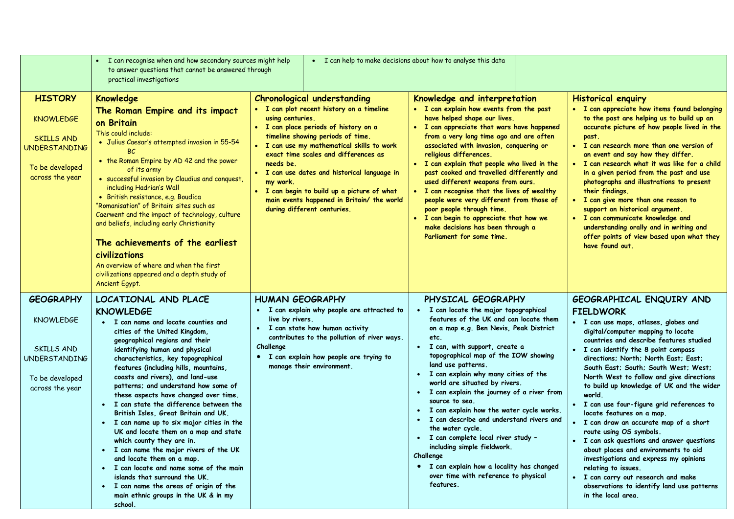|                                                                                                                         | • I can recognise when and how secondary sources might help<br>to answer questions that cannot be answered through<br>practical investigations                                                                                                                                                                                                                                                                                                                                                                                                                                                                                                                                                                                                                                                                                                     | . I can help to make decisions about how to analyse this data                                                                                                                                                                                                                                                                                                                                                                                                                |                                                                                                                                                                                                                                                                                                                                                                                                                                                                                                                                                                                                                                                                                                              |                                                                                                                                                                                                                                                                                                                                                                                                                                                                                                                                                                                                                                                                                                                                                                                                                    |
|-------------------------------------------------------------------------------------------------------------------------|----------------------------------------------------------------------------------------------------------------------------------------------------------------------------------------------------------------------------------------------------------------------------------------------------------------------------------------------------------------------------------------------------------------------------------------------------------------------------------------------------------------------------------------------------------------------------------------------------------------------------------------------------------------------------------------------------------------------------------------------------------------------------------------------------------------------------------------------------|------------------------------------------------------------------------------------------------------------------------------------------------------------------------------------------------------------------------------------------------------------------------------------------------------------------------------------------------------------------------------------------------------------------------------------------------------------------------------|--------------------------------------------------------------------------------------------------------------------------------------------------------------------------------------------------------------------------------------------------------------------------------------------------------------------------------------------------------------------------------------------------------------------------------------------------------------------------------------------------------------------------------------------------------------------------------------------------------------------------------------------------------------------------------------------------------------|--------------------------------------------------------------------------------------------------------------------------------------------------------------------------------------------------------------------------------------------------------------------------------------------------------------------------------------------------------------------------------------------------------------------------------------------------------------------------------------------------------------------------------------------------------------------------------------------------------------------------------------------------------------------------------------------------------------------------------------------------------------------------------------------------------------------|
| <b>HISTORY</b><br><b>KNOWLEDGE</b><br><b>SKILLS AND</b><br><b>UNDERSTANDING</b><br>To be developed<br>across the year   | <b>Knowledge</b><br>The Roman Empire and its impact<br>on Britain<br>This could include:<br>· Julius Caesar's attempted invasion in 55-54<br>BC.<br>• the Roman Empire by AD 42 and the power<br>of its army<br>· successful invasion by Claudius and conquest,<br>including Hadrian's Wall<br>· British resistance, e.g. Boudica<br>"Romanisation" of Britain: sites such as<br>Caerwent and the impact of technology, culture<br>and beliefs, including early Christianity<br>The achievements of the earliest<br>civilizations<br>An overview of where and when the first<br>civilizations appeared and a depth study of<br>Ancient Egypt.                                                                                                                                                                                                      | <b>Chronological understanding</b><br>• I can plot recent history on a timeline<br>using centuries.<br>· I can place periods of history on a<br>timeline showing periods of time.<br>• I can use my mathematical skills to work<br>exact time scales and differences as<br>needs be.<br>• I can use dates and historical language in<br>my work.<br>. I can begin to build up a picture of what<br>main events happened in Britain/ the world<br>during different centuries. | Knowledge and interpretation<br>. I can explain how events from the past<br>have helped shape our lives.<br>. I can appreciate that wars have happened<br>from a very long time ago and are often<br>associated with invasion, conquering or<br>religious differences.<br>. I can explain that people who lived in the<br>past cooked and travelled differently and<br>used different weapons from ours.<br>• I can recognise that the lives of wealthy<br>people were very different from those of<br>poor people through time.<br>. I can begin to appreciate that how we<br>make decisions has been through a<br>Parliament for some time.                                                                | <b>Historical enquiry</b><br>• I can appreciate how items found belonging<br>to the past are helping us to build up an<br>accurate picture of how people lived in the<br>past.<br>• I can research more than one version of<br>an event and say how they differ.<br>. I can research what it was like for a child<br>in a given period from the past and use<br>photographs and illustrations to present<br>their findings.<br>• I can give more than one reason to<br>support an historical argument.<br>· I can communicate knowledge and<br>understanding orally and in writing and<br>offer points of view based upon what they<br>have found out.                                                                                                                                                             |
| <b>GEOGRAPHY</b><br><b>KNOWLEDGE</b><br><b>SKILLS AND</b><br><b>UNDERSTANDING</b><br>To be developed<br>across the year | LOCATIONAL AND PLACE<br><b>KNOWLEDGE</b><br>• I can name and locate counties and<br>cities of the United Kingdom,<br>geographical regions and their<br>identifying human and physical<br>characteristics, key topographical<br>features (including hills, mountains,<br>coasts and rivers), and land-use<br>patterns; and understand how some of<br>these aspects have changed over time.<br>I can state the difference between the<br>British Isles, Great Britain and UK.<br>• I can name up to six major cities in the<br>UK and locate them on a map and state<br>which county they are in.<br>• I can name the major rivers of the UK<br>and locate them on a map.<br>• I can locate and name some of the main<br>islands that surround the UK.<br>• I can name the areas of origin of the<br>main ethnic groups in the UK & in my<br>school. | <b>HUMAN GEOGRAPHY</b><br>• I can explain why people are attracted to<br>live by rivers.<br>• I can state how human activity<br>contributes to the pollution of river ways.<br>Challenge<br>• I can explain how people are trying to<br>manage their environment.                                                                                                                                                                                                            | PHYSICAL GEOGRAPHY<br>• I can locate the major topographical<br>features of the UK and can locate them<br>on a map e.g. Ben Nevis, Peak District<br>etc.<br>· I can, with support, create a<br>topographical map of the IOW showing<br>land use patterns.<br>• I can explain why many cities of the<br>world are situated by rivers.<br>· I can explain the journey of a river from<br>source to sea.<br>• I can explain how the water cycle works.<br>• I can describe and understand rivers and<br>the water cycle.<br>· I can complete local river study -<br>including simple fieldwork.<br>Challenge<br>• I can explain how a locality has changed<br>over time with reference to physical<br>features. | GEOGRAPHICAL ENQUIRY AND<br><b>FIELDWORK</b><br>· I can use maps, atlases, globes and<br>digital/computer mapping to locate<br>countries and describe features studied<br>• I can identify the 8 point compass<br>directions; North; North East; East;<br>South East; South; South West; West;<br>North West to follow and give directions<br>to build up knowledge of UK and the wider<br>world.<br>· I can use four-figure grid references to<br>locate features on a map.<br>I can draw an accurate map of a short<br>route using OS symbols.<br>• I can ask questions and answer questions<br>about places and environments to aid<br>investigations and express my opinions<br>relating to issues.<br>· I can carry out research and make<br>observations to identify land use patterns<br>in the local area. |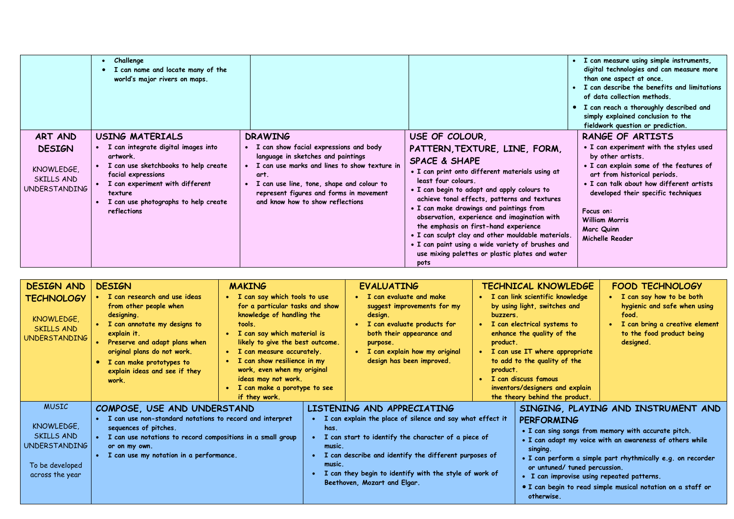|                                                                       | • Challenge<br>• I can name and locate many of the<br>world's major rivers on maps.                                                                                                                                                          |                                                                                                                                                                                                                                                                                      |                                                                                                                                                                                                                                                                                                                                                                                                                                                                                                                                                                 | I can measure using simple instruments,<br>digital technologies and can measure more<br>than one aspect at once.<br>I can describe the benefits and limitations<br>of data collection methods.<br>• I can reach a thoroughly described and<br>simply explained conclusion to the<br>fieldwork question or prediction. |
|-----------------------------------------------------------------------|----------------------------------------------------------------------------------------------------------------------------------------------------------------------------------------------------------------------------------------------|--------------------------------------------------------------------------------------------------------------------------------------------------------------------------------------------------------------------------------------------------------------------------------------|-----------------------------------------------------------------------------------------------------------------------------------------------------------------------------------------------------------------------------------------------------------------------------------------------------------------------------------------------------------------------------------------------------------------------------------------------------------------------------------------------------------------------------------------------------------------|-----------------------------------------------------------------------------------------------------------------------------------------------------------------------------------------------------------------------------------------------------------------------------------------------------------------------|
| ART AND<br><b>DESIGN</b><br>KNOWLEDGE.<br>SKILLS AND<br>UNDERSTANDING | <b>USING MATERIALS</b><br>I can integrate digital images into<br>artwork.<br>I can use sketchbooks to help create<br>facial expressions<br>I can experiment with different<br>texture<br>I can use photographs to help create<br>reflections | <b>DRAWING</b><br>I can show facial expressions and body<br>language in sketches and paintings<br>• I can use marks and lines to show texture in<br>art.<br>I can use line, tone, shape and colour to<br>represent figures and forms in movement<br>and know how to show reflections | USE OF COLOUR,<br>PATTERN, TEXTURE, LINE, FORM,<br><b>SPACE &amp; SHAPE</b><br>• I can print onto different materials using at<br>least four colours.<br>. I can begin to adapt and apply colours to<br>achieve tonal effects, patterns and textures<br>. I can make drawings and paintings from<br>observation, experience and imagination with<br>the emphasis on first-hand experience<br>. I can sculpt clay and other mouldable materials.<br>• I can paint using a wide variety of brushes and<br>use mixing palettes or plastic plates and water<br>pots | RANGE OF ARTISTS<br>• I can experiment with the styles used<br>by other artists.<br>. I can explain some of the features of<br>art from historical periods.<br>• I can talk about how different artists<br>developed their specific techniques<br>Focus on:<br><b>William Morris</b><br>Marc Quinn<br>Michelle Reader |

| <b>DESIGN AND</b><br>TECHNOLOGY<br>KNOWLEDGE,<br>SKILLS AND<br><b>UNDERSTANDING</b>             | <b>DESIGN</b><br>I can research and use ideas<br>from other people when<br>designing.<br>I can annotate my designs to<br>explain it.<br>Preserve and adapt plans when<br>original plans do not work.<br>I can make prototypes to<br>$\bullet$<br>explain ideas and see if they<br>work. | <b>MAKING</b><br>• I can say which tools to use<br>for a particular tasks and show<br>knowledge of handling the<br>tools.<br>• I can say which material is<br>likely to give the best outcome.<br>• I can measure accurately.<br>I can show resilience in my<br>work, even when my original<br>ideas may not work.<br>• I can make a porotype to see<br>if they work. | <b>EVALUATING</b><br>I can evaluate and make<br>suggest improvements for my<br>design.<br>I can evaluate products for<br>both their appearance and<br>purpose.<br>I can explain how my original<br>design has been improved.                                                                                                  | buzzers.<br>product.<br>product. | TECHNICAL KNOWLEDGE<br>• I can link scientific knowledge<br>by using light, switches and<br>I can electrical systems to<br>enhance the quality of the<br>• I can use IT where appropriate<br>to add to the quality of the<br>I can discuss famous<br>inventors/designers and explain<br>the theory behind the product. | <b>FOOD TECHNOLOGY</b><br>• I can say how to be both<br>hygienic and safe when using<br>food.<br>I can bring a creative element<br>to the food product being<br>designed.                                                                                                            |
|-------------------------------------------------------------------------------------------------|-----------------------------------------------------------------------------------------------------------------------------------------------------------------------------------------------------------------------------------------------------------------------------------------|-----------------------------------------------------------------------------------------------------------------------------------------------------------------------------------------------------------------------------------------------------------------------------------------------------------------------------------------------------------------------|-------------------------------------------------------------------------------------------------------------------------------------------------------------------------------------------------------------------------------------------------------------------------------------------------------------------------------|----------------------------------|------------------------------------------------------------------------------------------------------------------------------------------------------------------------------------------------------------------------------------------------------------------------------------------------------------------------|--------------------------------------------------------------------------------------------------------------------------------------------------------------------------------------------------------------------------------------------------------------------------------------|
| <b>MUSIC</b><br>KNOWLEDGE.<br>SKILLS AND<br>UNDERSTANDING<br>To be developed<br>across the year | COMPOSE, USE AND UNDERSTAND<br>I can use non-standard notations to record and interpret<br>sequences of pitches.<br>I can use notations to record compositions in a small group<br>or on my own.<br>I can use my notation in a performance.                                             |                                                                                                                                                                                                                                                                                                                                                                       | LISTENING AND APPRECIATING<br>I can explain the place of silence and say what effect it<br>has.<br>I can start to identify the character of a piece of<br>music.<br>I can describe and identify the different purposes of<br>music.<br>I can they begin to identify with the style of work of<br>Beethoven, Mozart and Elgar. |                                  | <b>PERFORMING</b><br>singing.<br>or untuned/ tuned percussion.<br>• I can improvise using repeated patterns.<br>otherwise.                                                                                                                                                                                             | SINGING, PLAYING AND INSTRUMENT AND<br>• I can sing songs from memory with accurate pitch.<br>• I can adapt my voice with an awareness of others while<br>• I can perform a simple part rhythmically e.g. on recorder<br>• I can begin to read simple musical notation on a staff or |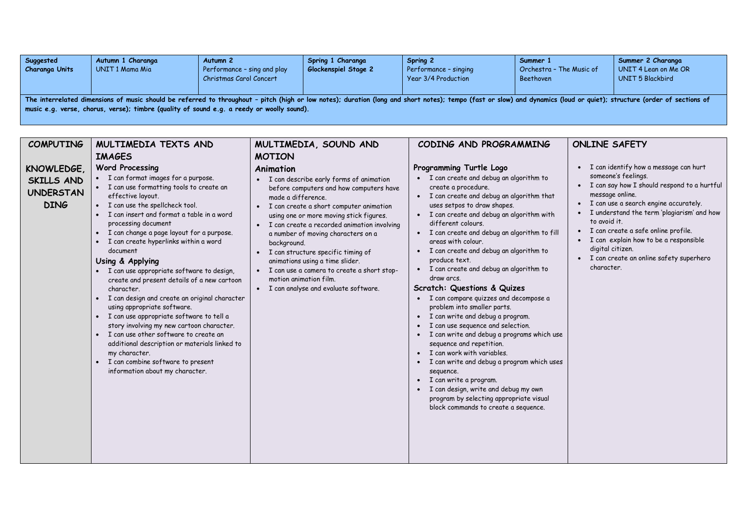| Suggested<br>Charanga Units                                                                                                                                                                                                                                                                                         | Autumn 1 Charanga<br>UNIT 1 Mama Mia | Autumn <sub>2</sub><br>Performance - sing and play<br>Christmas Carol Concert | Spring 1 Charanga<br>Glockenspiel Stage 2 | Spring 2<br>Performance - singing<br>Year 3/4 Production | Summer 1<br>Orchestra - The Music of<br>Beethoven | Summer 2 Charanga<br>UNIT 4 Lean on Me OR<br>UNIT 5 Blackbird |  |
|---------------------------------------------------------------------------------------------------------------------------------------------------------------------------------------------------------------------------------------------------------------------------------------------------------------------|--------------------------------------|-------------------------------------------------------------------------------|-------------------------------------------|----------------------------------------------------------|---------------------------------------------------|---------------------------------------------------------------|--|
| The interrelated dimensions of music should be referred to throughout - pitch (high or low notes); duration (long and short notes); tempo (fast or slow) and dynamics (loud or quiet); structure (order of sections of<br>music e.g. verse, chorus, verse); timbre (quality of sound e.g. a reedy or woolly sound). |                                      |                                                                               |                                           |                                                          |                                                   |                                                               |  |

| <b>COMPUTING</b>                                            | MULTIMEDIA TEXTS AND                                                                                                                                                                                                                                                                                                                                                                                                                                                                                                                                                                                                                                                                                                                                                                                                                             | MULTIMEDIA, SOUND AND                                                                                                                                                                                                                                                                                                                                                                                                                                                                                                | CODING AND PROGRAMMING                                                                                                                                                                                                                                                                                                                                                                                                                                                                                                                                                                                                                                                                                                                                                                                                                                                                                                                                                   | <b>ONLINE SAFETY</b>                                                                                                                                                                                                                                                                                                                                                                                         |
|-------------------------------------------------------------|--------------------------------------------------------------------------------------------------------------------------------------------------------------------------------------------------------------------------------------------------------------------------------------------------------------------------------------------------------------------------------------------------------------------------------------------------------------------------------------------------------------------------------------------------------------------------------------------------------------------------------------------------------------------------------------------------------------------------------------------------------------------------------------------------------------------------------------------------|----------------------------------------------------------------------------------------------------------------------------------------------------------------------------------------------------------------------------------------------------------------------------------------------------------------------------------------------------------------------------------------------------------------------------------------------------------------------------------------------------------------------|--------------------------------------------------------------------------------------------------------------------------------------------------------------------------------------------------------------------------------------------------------------------------------------------------------------------------------------------------------------------------------------------------------------------------------------------------------------------------------------------------------------------------------------------------------------------------------------------------------------------------------------------------------------------------------------------------------------------------------------------------------------------------------------------------------------------------------------------------------------------------------------------------------------------------------------------------------------------------|--------------------------------------------------------------------------------------------------------------------------------------------------------------------------------------------------------------------------------------------------------------------------------------------------------------------------------------------------------------------------------------------------------------|
|                                                             | <b>IMAGES</b>                                                                                                                                                                                                                                                                                                                                                                                                                                                                                                                                                                                                                                                                                                                                                                                                                                    | <b>MOTION</b>                                                                                                                                                                                                                                                                                                                                                                                                                                                                                                        |                                                                                                                                                                                                                                                                                                                                                                                                                                                                                                                                                                                                                                                                                                                                                                                                                                                                                                                                                                          |                                                                                                                                                                                                                                                                                                                                                                                                              |
| KNOWLEDGE,<br>SKILLS AND<br><b>UNDERSTAN</b><br><b>DING</b> | <b>Word Processing</b><br>• I can format images for a purpose.<br>• I can use formatting tools to create an<br>effective layout.<br>• I can use the spellcheck tool.<br>• I can insert and format a table in a word<br>processing document<br>• I can change a page layout for a purpose.<br>I can create hyperlinks within a word<br>document<br>Using & Applying<br>• I can use appropriate software to design,<br>create and present details of a new cartoon<br>character.<br>• I can design and create an original character<br>using appropriate software.<br>• I can use appropriate software to tell a<br>story involving my new cartoon character.<br>• I can use other software to create an<br>additional description or materials linked to<br>my character.<br>I can combine software to present<br>information about my character. | Animation<br>• I can describe early forms of animation<br>before computers and how computers have<br>made a difference.<br>• I can create a short computer animation<br>using one or more moving stick figures.<br>• I can create a recorded animation involving<br>a number of moving characters on a<br>background.<br>• I can structure specific timing of<br>animations using a time slider.<br>· I can use a camera to create a short stop-<br>motion animation film.<br>• I can analyse and evaluate software. | Programming Turtle Logo<br>• I can create and debug an algorithm to<br>create a procedure.<br>• I can create and debug an algorithm that<br>uses setpos to draw shapes.<br>• I can create and debug an algorithm with<br>different colours.<br>• I can create and debug an algorithm to fill<br>areas with colour.<br>I can create and debug an algorithm to<br>$\bullet$<br>produce text.<br>• I can create and debug an algorithm to<br>draw arcs.<br>Scratch: Questions & Quizes<br>• I can compare quizzes and decompose a<br>problem into smaller parts.<br>• I can write and debug a program.<br>I can use sequence and selection.<br>· I can write and debug a programs which use<br>sequence and repetition.<br>• I can work with variables.<br>I can write and debug a program which uses<br>sequence.<br>• I can write a program.<br>• I can design, write and debug my own<br>program by selecting appropriate visual<br>block commands to create a sequence. | • I can identify how a message can hurt<br>someone's feelings.<br>• I can say how I should respond to a hurtful<br>message online.<br>• I can use a search engine accurately.<br>I understand the term 'plagiarism' and how<br>to avoid it.<br>• I can create a safe online profile.<br>I can explain how to be a responsible<br>digital citizen.<br>• I can create an online safety superhero<br>character. |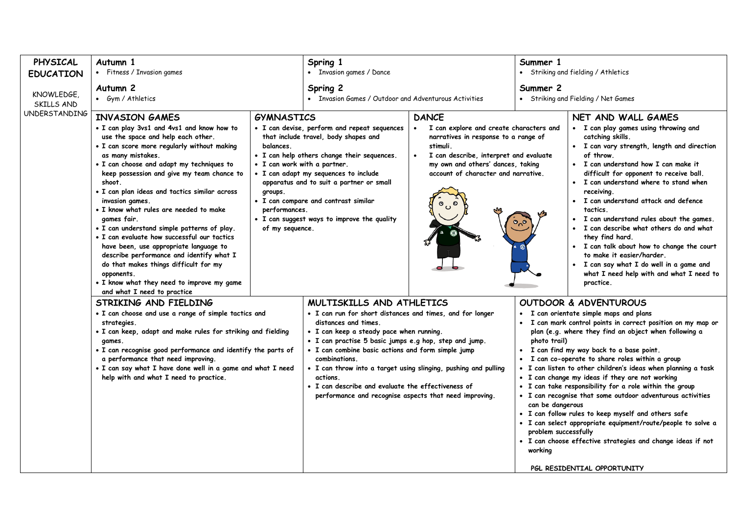| PHYSICAL                                         | Autumn 1                                                                                                                                                                                                                                                                                                                                                                                                                                                                                                                                                                    |                                                                             | Spring 1                                                                                                                                                                                                                                                                                                                                                                                                                                                                                   |                                                                                                                          | Summer 1                                                                                                                                                                                                                                                                                                                                                                                                                                                                                                                                                                                                                                                                                                                                                                                                                 |                                                                                                                                                                                                                                                                                                                                                                                                                                                                                                       |  |
|--------------------------------------------------|-----------------------------------------------------------------------------------------------------------------------------------------------------------------------------------------------------------------------------------------------------------------------------------------------------------------------------------------------------------------------------------------------------------------------------------------------------------------------------------------------------------------------------------------------------------------------------|-----------------------------------------------------------------------------|--------------------------------------------------------------------------------------------------------------------------------------------------------------------------------------------------------------------------------------------------------------------------------------------------------------------------------------------------------------------------------------------------------------------------------------------------------------------------------------------|--------------------------------------------------------------------------------------------------------------------------|--------------------------------------------------------------------------------------------------------------------------------------------------------------------------------------------------------------------------------------------------------------------------------------------------------------------------------------------------------------------------------------------------------------------------------------------------------------------------------------------------------------------------------------------------------------------------------------------------------------------------------------------------------------------------------------------------------------------------------------------------------------------------------------------------------------------------|-------------------------------------------------------------------------------------------------------------------------------------------------------------------------------------------------------------------------------------------------------------------------------------------------------------------------------------------------------------------------------------------------------------------------------------------------------------------------------------------------------|--|
| <b>EDUCATION</b>                                 | • Fitness / Invasion games                                                                                                                                                                                                                                                                                                                                                                                                                                                                                                                                                  |                                                                             | • Invasion games / Dance                                                                                                                                                                                                                                                                                                                                                                                                                                                                   |                                                                                                                          |                                                                                                                                                                                                                                                                                                                                                                                                                                                                                                                                                                                                                                                                                                                                                                                                                          | • Striking and fielding / Athletics                                                                                                                                                                                                                                                                                                                                                                                                                                                                   |  |
| KNOWLEDGE,<br>SKILLS AND<br><b>UNDERSTANDING</b> | Autumn 2<br>• Gym / Athletics                                                                                                                                                                                                                                                                                                                                                                                                                                                                                                                                               |                                                                             | Spring 2<br>• Invasion Games / Outdoor and Adventurous Activities                                                                                                                                                                                                                                                                                                                                                                                                                          |                                                                                                                          | Summer 2<br>• Striking and Fielding / Net Games                                                                                                                                                                                                                                                                                                                                                                                                                                                                                                                                                                                                                                                                                                                                                                          |                                                                                                                                                                                                                                                                                                                                                                                                                                                                                                       |  |
|                                                  | <b>INVASION GAMES</b><br>. I can play 3vs1 and 4vs1 and know how to<br>use the space and help each other.<br>. I can score more regularly without making                                                                                                                                                                                                                                                                                                                                                                                                                    | <b>GYMNASTICS</b><br>balances.                                              | · I can devise, perform and repeat sequences<br>that include travel, body shapes and                                                                                                                                                                                                                                                                                                                                                                                                       | <b>DANCE</b><br>I can explore and create characters and<br>$\bullet$<br>narratives in response to a range of<br>stimuli. | NET AND WALL GAMES<br>• I can play games using throwing and<br>catching skills.<br>· I can vary strength, length and direction                                                                                                                                                                                                                                                                                                                                                                                                                                                                                                                                                                                                                                                                                           |                                                                                                                                                                                                                                                                                                                                                                                                                                                                                                       |  |
|                                                  | as many mistakes.<br>. I can choose and adapt my techniques to<br>keep possession and give my team chance to<br>shoot.<br>. I can plan ideas and tactics similar across<br>invasion games.<br>• I know what rules are needed to make<br>games fair.<br>• I can understand simple patterns of play.<br>• I can evaluate how successful our tactics<br>have been, use appropriate language to<br>describe performance and identify what I<br>do that makes things difficult for my<br>opponents.<br>. I know what they need to improve my game<br>and what I need to practice | • I can work with a partner.<br>groups.<br>performances.<br>of my sequence. | · I can help others change their sequences.<br>• I can adapt my sequences to include<br>apparatus and to suit a partner or small<br>· I can compare and contrast similar<br>. I can suggest ways to improve the quality                                                                                                                                                                                                                                                                    | I can describe, interpret and evaluate<br>my own and others' dances, taking<br>account of character and narrative.       |                                                                                                                                                                                                                                                                                                                                                                                                                                                                                                                                                                                                                                                                                                                                                                                                                          | of throw.<br>• I can understand how I can make it<br>difficult for opponent to receive ball.<br>· I can understand where to stand when<br>receiving.<br>• I can understand attack and defence<br>tactics.<br>• I can understand rules about the games.<br>• I can describe what others do and what<br>they find hard.<br>· I can talk about how to change the court<br>to make it easier/harder.<br>· I can say what I do well in a game and<br>what I need help with and what I need to<br>practice. |  |
|                                                  | STRIKING AND FIELDING<br>· I can choose and use a range of simple tactics and<br>strategies.<br>. I can keep, adapt and make rules for striking and fielding<br>games.<br>• I can recognise good performance and identify the parts of<br>a performance that need improving.<br>. I can say what I have done well in a game and what I need<br>help with and what I need to practice.                                                                                                                                                                                       |                                                                             | MULTISKILLS AND ATHLETICS<br>· I can run for short distances and times, and for longer<br>distances and times.<br>· I can keep a steady pace when running.<br>· I can practise 5 basic jumps e.g hop, step and jump.<br>• I can combine basic actions and form simple jump<br>combinations.<br>• I can throw into a target using slinging, pushing and pulling<br>actions.<br>• I can describe and evaluate the effectiveness of<br>performance and recognise aspects that need improving. |                                                                                                                          | <b>OUTDOOR &amp; ADVENTUROUS</b><br>• I can orientate simple maps and plans<br>I can mark control points in correct position on my map or<br>$\bullet$<br>plan (e.g. where they find an object when following a<br>photo trail)<br>I can find my way back to a base point.<br>• I can co-operate to share roles within a group<br>· I can listen to other children's ideas when planning a task<br>• I can change my ideas if they are not working<br>. I can take responsibility for a role within the group<br>• I can recognise that some outdoor adventurous activities<br>can be dangerous<br>· I can follow rules to keep myself and others safe<br>· I can select appropriate equipment/route/people to solve a<br>problem successfully<br>· I can choose effective strategies and change ideas if not<br>working |                                                                                                                                                                                                                                                                                                                                                                                                                                                                                                       |  |
|                                                  |                                                                                                                                                                                                                                                                                                                                                                                                                                                                                                                                                                             |                                                                             |                                                                                                                                                                                                                                                                                                                                                                                                                                                                                            |                                                                                                                          |                                                                                                                                                                                                                                                                                                                                                                                                                                                                                                                                                                                                                                                                                                                                                                                                                          | PGL RESIDENTIAL OPPORTUNITY                                                                                                                                                                                                                                                                                                                                                                                                                                                                           |  |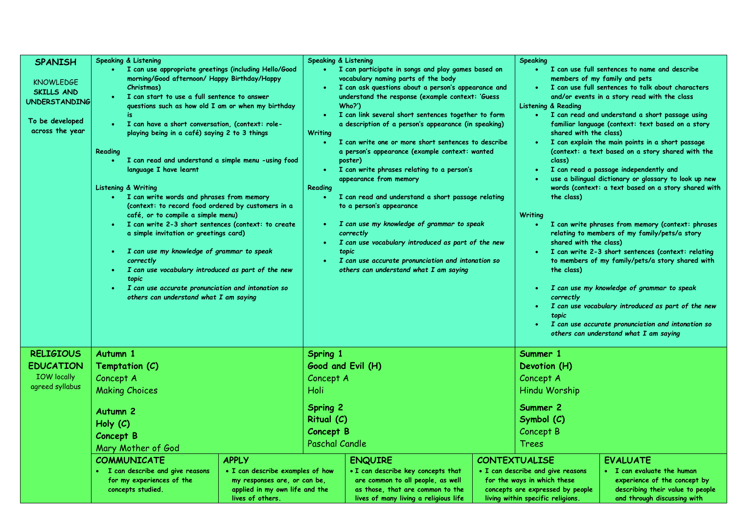| <b>SPANISH</b>                                                                                      | <b>Speaking &amp; Listening</b>                                                                                                                                                                                                                                                                                                                                                                                                                                                                                                                                                                                                                                                                                                                                                                                                                                                                                                                                          |  | Speaking & Listening                                                                                                                                 |                                                                                                                                                                                                                                                                                                                                                                                                                                                                                                                                                                                                                                                                                                                                                                                                                                       | <b>Speaking</b>      |                                                                                                                                                           |                                                                                                                                                                                                                                                                                                                                                                                                                                                                                                                                                                                                                                                                                                                                                                                                                                                                                                                                                                                      |
|-----------------------------------------------------------------------------------------------------|--------------------------------------------------------------------------------------------------------------------------------------------------------------------------------------------------------------------------------------------------------------------------------------------------------------------------------------------------------------------------------------------------------------------------------------------------------------------------------------------------------------------------------------------------------------------------------------------------------------------------------------------------------------------------------------------------------------------------------------------------------------------------------------------------------------------------------------------------------------------------------------------------------------------------------------------------------------------------|--|------------------------------------------------------------------------------------------------------------------------------------------------------|---------------------------------------------------------------------------------------------------------------------------------------------------------------------------------------------------------------------------------------------------------------------------------------------------------------------------------------------------------------------------------------------------------------------------------------------------------------------------------------------------------------------------------------------------------------------------------------------------------------------------------------------------------------------------------------------------------------------------------------------------------------------------------------------------------------------------------------|----------------------|-----------------------------------------------------------------------------------------------------------------------------------------------------------|--------------------------------------------------------------------------------------------------------------------------------------------------------------------------------------------------------------------------------------------------------------------------------------------------------------------------------------------------------------------------------------------------------------------------------------------------------------------------------------------------------------------------------------------------------------------------------------------------------------------------------------------------------------------------------------------------------------------------------------------------------------------------------------------------------------------------------------------------------------------------------------------------------------------------------------------------------------------------------------|
| <b>KNOWLEDGE</b><br><b>SKILLS AND</b><br><b>UNDERSTANDING</b><br>To be developed<br>across the year | I can use appropriate greetings (including Hello/Good<br>morning/Good afternoon/ Happy Birthday/Happy<br>Christmas)<br>I can start to use a full sentence to answer<br>questions such as how old I am or when my birthday<br>is<br>• I can have a short conversation, (context: role-<br>playing being in a café) saying 2 to 3 things<br>Reading<br>I can read and understand a simple menu -using food<br>language I have learnt<br>Listening & Writing<br>• I can write words and phrases from memory<br>(context: to record food ordered by customers in a<br>café, or to compile a simple menu)<br>· I can write 2-3 short sentences (context: to create<br>a simple invitation or greetings card)<br>I can use my knowledge of grammar to speak<br>$\bullet$<br>correctly<br>I can use vocabulary introduced as part of the new<br>$\bullet$<br>topic<br>I can use accurate pronunciation and intonation so<br>$\bullet$<br>others can understand what I am saying |  | $\bullet$<br><b>Writing</b><br>$\bullet$ .<br>$\bullet$ .<br>Reading<br>$\bullet$ .<br>$\bullet$ .<br>$\bullet$ .                                    | I can participate in songs and play games based on<br>vocabulary naming parts of the body<br>I can ask questions about a person's appearance and<br>understand the response (example context: 'Guess<br>Who?')<br>I can link several short sentences together to form<br>a description of a person's appearance (in speaking)<br>I can write one or more short sentences to describe<br>a person's appearance (example context: wanted<br>poster)<br>I can write phrases relating to a person's<br>appearance from memory<br>I can read and understand a short passage relating<br>to a person's appearance<br>I can use my knowledge of grammar to speak<br>correctly<br>I can use vocabulary introduced as part of the new<br>topic<br>I can use accurate pronunciation and intonation so<br>others can understand what I am saying |                      | <b>Listening &amp; Reading</b><br>shared with the class)<br>class)<br>the class)<br>Writing<br>shared with the class)<br>the class)<br>correctly<br>topic | I can use full sentences to name and describe<br>members of my family and pets<br>I can use full sentences to talk about characters<br>and/or events in a story read with the class<br>• I can read and understand a short passage using<br>familiar language (context: text based on a story<br>I can explain the main points in a short passage<br>(context: a text based on a story shared with the<br>I can read a passage independently and<br>use a bilingual dictionary or glossary to look up new<br>words (context: a text based on a story shared with<br>I can write phrases from memory (context: phrases<br>relating to members of my family/pets/a story<br>I can write 2-3 short sentences (context: relating<br>to members of my family/pets/a story shared with<br>I can use my knowledge of grammar to speak<br>I can use vocabulary introduced as part of the new<br>I can use accurate pronunciation and intonation so<br>others can understand what I am saying |
| <b>RELIGIOUS</b>                                                                                    | Autumn 1                                                                                                                                                                                                                                                                                                                                                                                                                                                                                                                                                                                                                                                                                                                                                                                                                                                                                                                                                                 |  | Spring 1                                                                                                                                             |                                                                                                                                                                                                                                                                                                                                                                                                                                                                                                                                                                                                                                                                                                                                                                                                                                       | Summer 1             |                                                                                                                                                           |                                                                                                                                                                                                                                                                                                                                                                                                                                                                                                                                                                                                                                                                                                                                                                                                                                                                                                                                                                                      |
| <b>EDUCATION</b><br><b>IOW</b> locally                                                              | Temptation (C)<br>Concept A                                                                                                                                                                                                                                                                                                                                                                                                                                                                                                                                                                                                                                                                                                                                                                                                                                                                                                                                              |  | Good and Evil (H)<br>Concept A                                                                                                                       |                                                                                                                                                                                                                                                                                                                                                                                                                                                                                                                                                                                                                                                                                                                                                                                                                                       |                      | Devotion (H)<br>Concept A                                                                                                                                 |                                                                                                                                                                                                                                                                                                                                                                                                                                                                                                                                                                                                                                                                                                                                                                                                                                                                                                                                                                                      |
| agreed syllabus                                                                                     | <b>Making Choices</b>                                                                                                                                                                                                                                                                                                                                                                                                                                                                                                                                                                                                                                                                                                                                                                                                                                                                                                                                                    |  | Holi                                                                                                                                                 |                                                                                                                                                                                                                                                                                                                                                                                                                                                                                                                                                                                                                                                                                                                                                                                                                                       |                      | Hindu Worship                                                                                                                                             |                                                                                                                                                                                                                                                                                                                                                                                                                                                                                                                                                                                                                                                                                                                                                                                                                                                                                                                                                                                      |
|                                                                                                     | Autumn <sub>2</sub><br>Holy $(C)$<br><b>Concept B</b><br>Mary Mother of God<br><b>APPLY</b><br><b>COMMUNICATE</b><br>• I can describe examples of how<br>• I can describe and give reasons<br>for my experiences of the<br>my responses are, or can be,<br>applied in my own life and the<br>concepts studied.<br>lives of others.                                                                                                                                                                                                                                                                                                                                                                                                                                                                                                                                                                                                                                       |  | <b>Spring 2</b>                                                                                                                                      |                                                                                                                                                                                                                                                                                                                                                                                                                                                                                                                                                                                                                                                                                                                                                                                                                                       |                      | Summer 2                                                                                                                                                  |                                                                                                                                                                                                                                                                                                                                                                                                                                                                                                                                                                                                                                                                                                                                                                                                                                                                                                                                                                                      |
|                                                                                                     |                                                                                                                                                                                                                                                                                                                                                                                                                                                                                                                                                                                                                                                                                                                                                                                                                                                                                                                                                                          |  | Ritual (C)                                                                                                                                           |                                                                                                                                                                                                                                                                                                                                                                                                                                                                                                                                                                                                                                                                                                                                                                                                                                       |                      | Symbol (C)                                                                                                                                                |                                                                                                                                                                                                                                                                                                                                                                                                                                                                                                                                                                                                                                                                                                                                                                                                                                                                                                                                                                                      |
|                                                                                                     |                                                                                                                                                                                                                                                                                                                                                                                                                                                                                                                                                                                                                                                                                                                                                                                                                                                                                                                                                                          |  | Concept B                                                                                                                                            |                                                                                                                                                                                                                                                                                                                                                                                                                                                                                                                                                                                                                                                                                                                                                                                                                                       |                      | Concept B                                                                                                                                                 |                                                                                                                                                                                                                                                                                                                                                                                                                                                                                                                                                                                                                                                                                                                                                                                                                                                                                                                                                                                      |
|                                                                                                     |                                                                                                                                                                                                                                                                                                                                                                                                                                                                                                                                                                                                                                                                                                                                                                                                                                                                                                                                                                          |  | <b>Paschal Candle</b>                                                                                                                                |                                                                                                                                                                                                                                                                                                                                                                                                                                                                                                                                                                                                                                                                                                                                                                                                                                       |                      | Trees                                                                                                                                                     |                                                                                                                                                                                                                                                                                                                                                                                                                                                                                                                                                                                                                                                                                                                                                                                                                                                                                                                                                                                      |
|                                                                                                     |                                                                                                                                                                                                                                                                                                                                                                                                                                                                                                                                                                                                                                                                                                                                                                                                                                                                                                                                                                          |  |                                                                                                                                                      | <b>ENQUIRE</b>                                                                                                                                                                                                                                                                                                                                                                                                                                                                                                                                                                                                                                                                                                                                                                                                                        | <b>CONTEXTUALISE</b> |                                                                                                                                                           | <b>EVALUATE</b>                                                                                                                                                                                                                                                                                                                                                                                                                                                                                                                                                                                                                                                                                                                                                                                                                                                                                                                                                                      |
|                                                                                                     |                                                                                                                                                                                                                                                                                                                                                                                                                                                                                                                                                                                                                                                                                                                                                                                                                                                                                                                                                                          |  | . I can describe key concepts that<br>are common to all people, as well<br>as those, that are common to the<br>lives of many living a religious life |                                                                                                                                                                                                                                                                                                                                                                                                                                                                                                                                                                                                                                                                                                                                                                                                                                       |                      | • I can describe and give reasons<br>for the ways in which these<br>concepts are expressed by people<br>living within specific religions.                 | • I can evaluate the human<br>experience of the concept by<br>describing their value to people<br>and through discussing with                                                                                                                                                                                                                                                                                                                                                                                                                                                                                                                                                                                                                                                                                                                                                                                                                                                        |